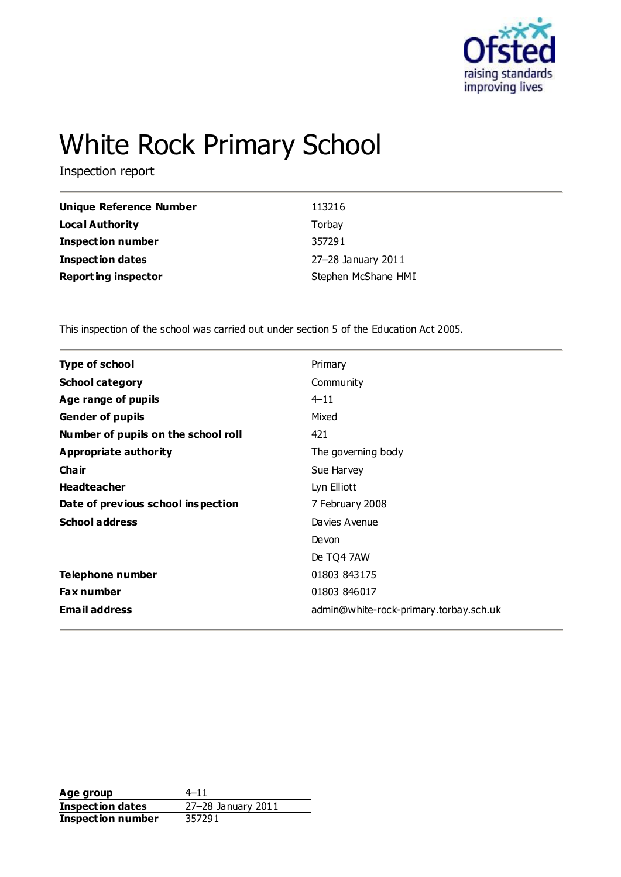

# White Rock Primary School

Inspection report

| Unique Reference Number    | 113216              |
|----------------------------|---------------------|
| Local Authority            | Torbay              |
| <b>Inspection number</b>   | 357291              |
| <b>Inspection dates</b>    | 27-28 January 2011  |
| <b>Reporting inspector</b> | Stephen McShane HMI |

This inspection of the school was carried out under section 5 of the Education Act 2005.

| <b>Type of school</b>               | Primary                                |
|-------------------------------------|----------------------------------------|
| <b>School category</b>              | Community                              |
| Age range of pupils                 | $4 - 11$                               |
| <b>Gender of pupils</b>             | Mixed                                  |
| Number of pupils on the school roll | 421                                    |
| <b>Appropriate authority</b>        | The governing body                     |
| Cha ir                              | Sue Harvey                             |
| <b>Headteacher</b>                  | Lyn Elliott                            |
| Date of previous school inspection  | 7 February 2008                        |
| <b>School address</b>               | Davies Avenue                          |
|                                     | Devon                                  |
|                                     | De TQ4 7AW                             |
| Telephone number                    | 01803 843175                           |
| Fax number                          | 01803 846017                           |
| <b>Email address</b>                | admin@white-rock-primary.torbay.sch.uk |
|                                     |                                        |

Age group  $4-11$ **Inspection dates** 27–28 January 2011<br> **Inspection number** 357291 **Inspection number**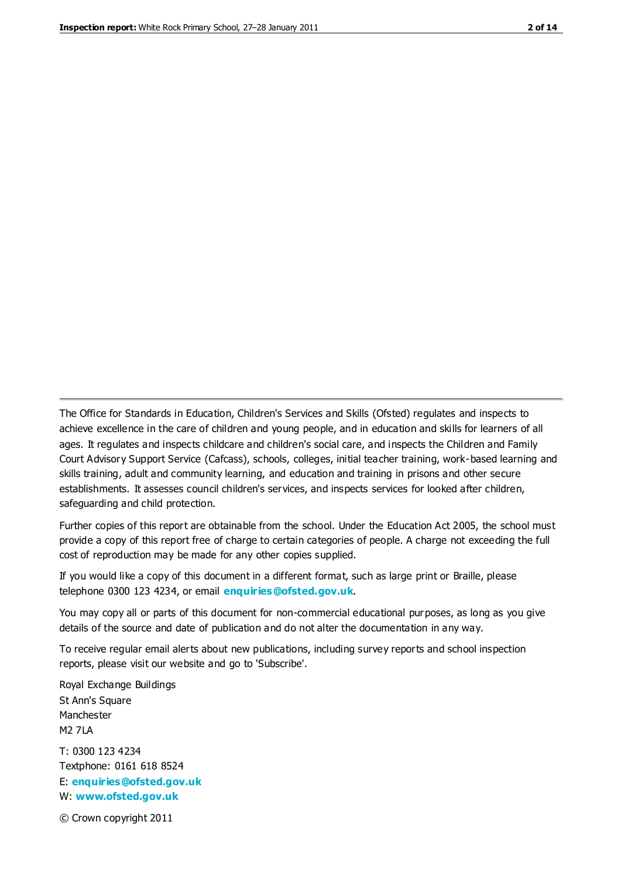The Office for Standards in Education, Children's Services and Skills (Ofsted) regulates and inspects to achieve excellence in the care of children and young people, and in education and skills for learners of all ages. It regulates and inspects childcare and children's social care, and inspects the Children and Family Court Advisory Support Service (Cafcass), schools, colleges, initial teacher training, work-based learning and skills training, adult and community learning, and education and training in prisons and other secure establishments. It assesses council children's services, and inspects services for looked after children, safeguarding and child protection.

Further copies of this report are obtainable from the school. Under the Education Act 2005, the school must provide a copy of this report free of charge to certain categories of people. A charge not exceeding the full cost of reproduction may be made for any other copies supplied.

If you would like a copy of this document in a different format, such as large print or Braille, please telephone 0300 123 4234, or email **[enquiries@ofsted.gov.uk](mailto:enquiries@ofsted.gov.uk)**.

You may copy all or parts of this document for non-commercial educational purposes, as long as you give details of the source and date of publication and do not alter the documentation in any way.

To receive regular email alerts about new publications, including survey reports and school inspection reports, please visit our website and go to 'Subscribe'.

Royal Exchange Buildings St Ann's Square Manchester M2 7LA T: 0300 123 4234 Textphone: 0161 618 8524 E: **[enquiries@ofsted.gov.uk](mailto:enquiries@ofsted.gov.uk)**

W: **[www.ofsted.gov.uk](http://www.ofsted.gov.uk/)**

© Crown copyright 2011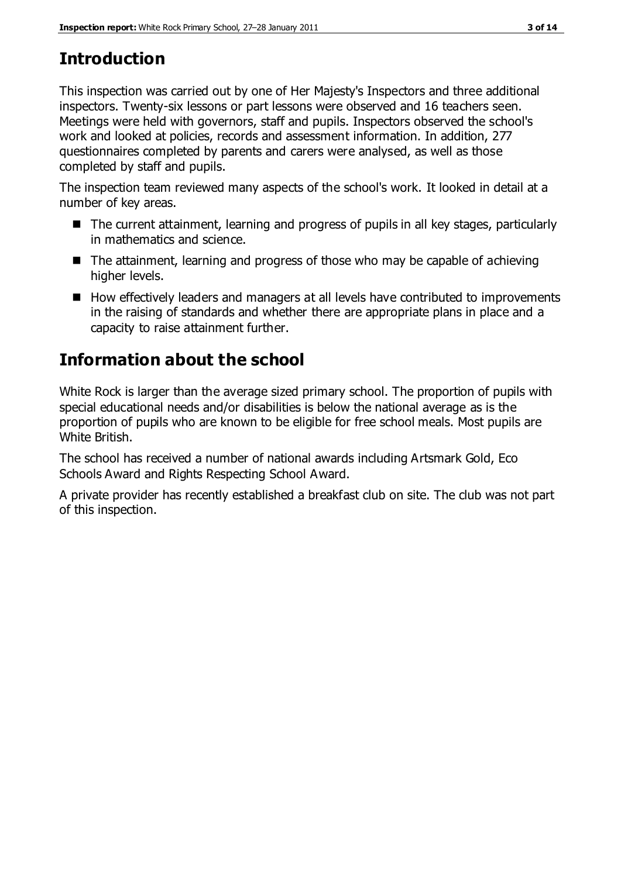# **Introduction**

This inspection was carried out by one of Her Majesty's Inspectors and three additional inspectors. Twenty-six lessons or part lessons were observed and 16 teachers seen. Meetings were held with governors, staff and pupils. Inspectors observed the school's work and looked at policies, records and assessment information. In addition, 277 questionnaires completed by parents and carers were analysed, as well as those completed by staff and pupils.

The inspection team reviewed many aspects of the school's work. It looked in detail at a number of key areas.

- The current attainment, learning and progress of pupils in all key stages, particularly in mathematics and science.
- The attainment, learning and progress of those who may be capable of achieving higher levels.
- How effectively leaders and managers at all levels have contributed to improvements in the raising of standards and whether there are appropriate plans in place and a capacity to raise attainment further.

# **Information about the school**

White Rock is larger than the average sized primary school. The proportion of pupils with special educational needs and/or disabilities is below the national average as is the proportion of pupils who are known to be eligible for free school meals. Most pupils are White British.

The school has received a number of national awards including Artsmark Gold, Eco Schools Award and Rights Respecting School Award.

A private provider has recently established a breakfast club on site. The club was not part of this inspection.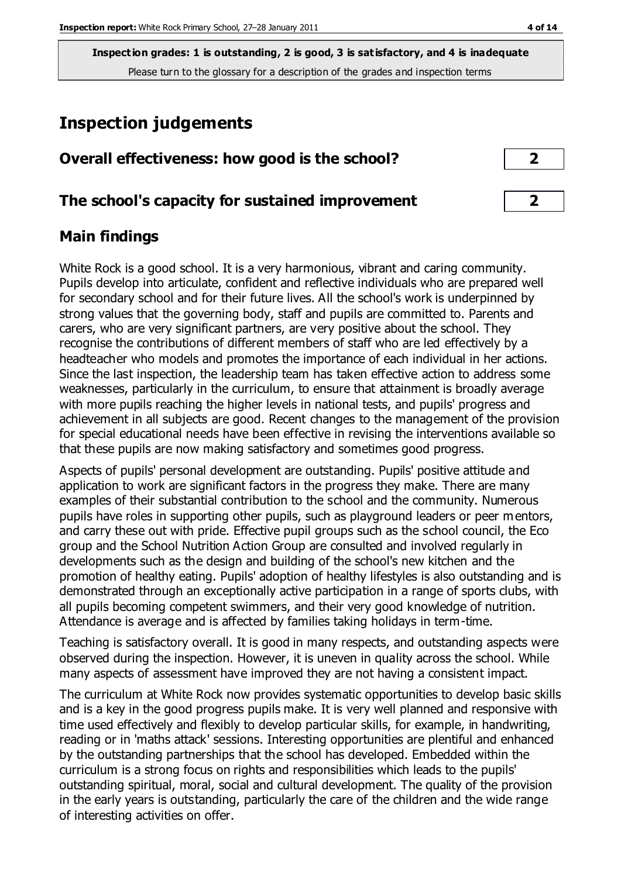# **Inspection judgements**

### **Overall effectiveness: how good is the school? 2**

#### **The school's capacity for sustained improvement 2**

#### **Main findings**

White Rock is a good school. It is a very harmonious, vibrant and caring community. Pupils develop into articulate, confident and reflective individuals who are prepared well for secondary school and for their future lives. All the school's work is underpinned by strong values that the governing body, staff and pupils are committed to. Parents and carers, who are very significant partners, are very positive about the school. They recognise the contributions of different members of staff who are led effectively by a headteacher who models and promotes the importance of each individual in her actions. Since the last inspection, the leadership team has taken effective action to address some weaknesses, particularly in the curriculum, to ensure that attainment is broadly average with more pupils reaching the higher levels in national tests, and pupils' progress and achievement in all subjects are good. Recent changes to the management of the provision for special educational needs have been effective in revising the interventions available so that these pupils are now making satisfactory and sometimes good progress.

Aspects of pupils' personal development are outstanding. Pupils' positive attitude and application to work are significant factors in the progress they make. There are many examples of their substantial contribution to the school and the community. Numerous pupils have roles in supporting other pupils, such as playground leaders or peer mentors, and carry these out with pride. Effective pupil groups such as the school council, the Eco group and the School Nutrition Action Group are consulted and involved regularly in developments such as the design and building of the school's new kitchen and the promotion of healthy eating. Pupils' adoption of healthy lifestyles is also outstanding and is demonstrated through an exceptionally active participation in a range of sports clubs, with all pupils becoming competent swimmers, and their very good knowledge of nutrition. Attendance is average and is affected by families taking holidays in term-time.

Teaching is satisfactory overall. It is good in many respects, and outstanding aspects were observed during the inspection. However, it is uneven in quality across the school. While many aspects of assessment have improved they are not having a consistent impact.

The curriculum at White Rock now provides systematic opportunities to develop basic skills and is a key in the good progress pupils make. It is very well planned and responsive with time used effectively and flexibly to develop particular skills, for example, in handwriting, reading or in 'maths attack' sessions. Interesting opportunities are plentiful and enhanced by the outstanding partnerships that the school has developed. Embedded within the curriculum is a strong focus on rights and responsibilities which leads to the pupils' outstanding spiritual, moral, social and cultural development. The quality of the provision in the early years is outstanding, particularly the care of the children and the wide range of interesting activities on offer.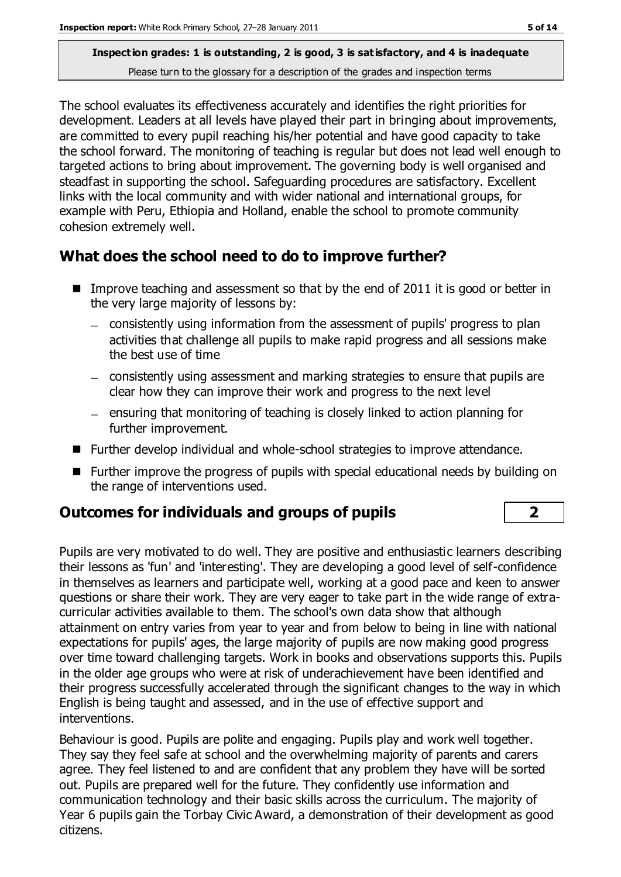The school evaluates its effectiveness accurately and identifies the right priorities for development. Leaders at all levels have played their part in bringing about improvements, are committed to every pupil reaching his/her potential and have good capacity to take the school forward. The monitoring of teaching is regular but does not lead well enough to targeted actions to bring about improvement. The governing body is well organised and steadfast in supporting the school. Safeguarding procedures are satisfactory. Excellent links with the local community and with wider national and international groups, for example with Peru, Ethiopia and Holland, enable the school to promote community cohesion extremely well.

## **What does the school need to do to improve further?**

- Improve teaching and assessment so that by the end of 2011 it is good or better in the very large majority of lessons by:
	- consistently using information from the assessment of pupils' progress to plan activities that challenge all pupils to make rapid progress and all sessions make the best use of time
	- consistently using assessment and marking strategies to ensure that pupils are clear how they can improve their work and progress to the next level
	- $-$  ensuring that monitoring of teaching is closely linked to action planning for further improvement.
- Further develop individual and whole-school strategies to improve attendance.
- Further improve the progress of pupils with special educational needs by building on the range of interventions used.

## **Outcomes for individuals and groups of pupils 2**

Pupils are very motivated to do well. They are positive and enthusiastic learners describing their lessons as 'fun' and 'interesting'. They are developing a good level of self-confidence in themselves as learners and participate well, working at a good pace and keen to answer questions or share their work. They are very eager to take part in the wide range of extracurricular activities available to them. The school's own data show that although attainment on entry varies from year to year and from below to being in line with national expectations for pupils' ages, the large majority of pupils are now making good progress over time toward challenging targets. Work in books and observations supports this. Pupils in the older age groups who were at risk of underachievement have been identified and their progress successfully accelerated through the significant changes to the way in which English is being taught and assessed, and in the use of effective support and interventions.

Behaviour is good. Pupils are polite and engaging. Pupils play and work well together. They say they feel safe at school and the overwhelming majority of parents and carers agree. They feel listened to and are confident that any problem they have will be sorted out. Pupils are prepared well for the future. They confidently use information and communication technology and their basic skills across the curriculum. The majority of Year 6 pupils gain the Torbay Civic Award, a demonstration of their development as good citizens.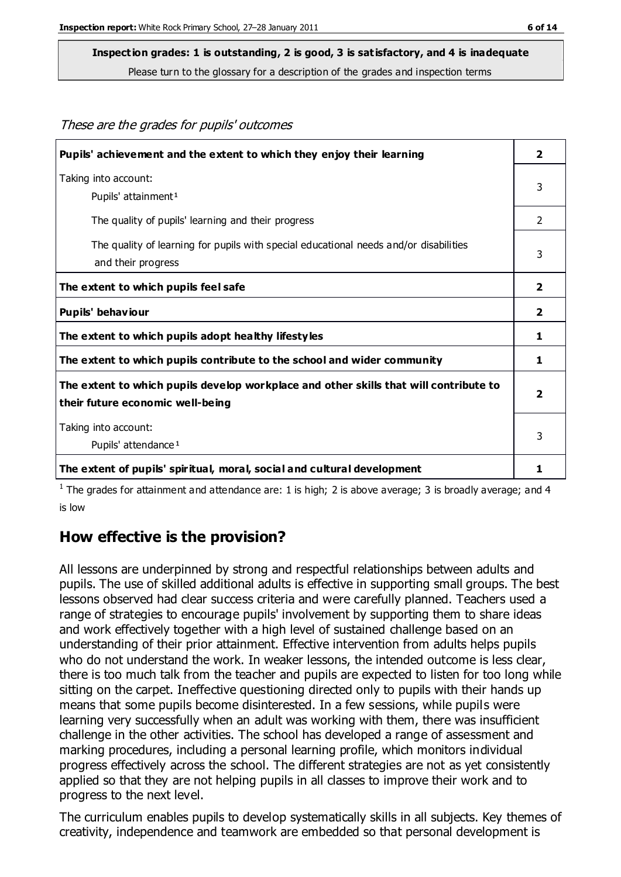These are the grades for pupils' outcomes

#### **Inspection grades: 1 is outstanding, 2 is good, 3 is satisfactory, and 4 is inadequate**

Please turn to the glossary for a description of the grades and inspection terms

| Pupils' achievement and the extent to which they enjoy their learning                                                     | $\overline{\mathbf{2}}$ |
|---------------------------------------------------------------------------------------------------------------------------|-------------------------|
| Taking into account:<br>Pupils' attainment <sup>1</sup>                                                                   | 3                       |
| The quality of pupils' learning and their progress                                                                        | 2                       |
| The quality of learning for pupils with special educational needs and/or disabilities<br>and their progress               | 3                       |
| The extent to which pupils feel safe                                                                                      | $\overline{2}$          |
| Pupils' behaviour                                                                                                         | $\overline{2}$          |
| The extent to which pupils adopt healthy lifestyles                                                                       | 1                       |
| The extent to which pupils contribute to the school and wider community                                                   | 1                       |
| The extent to which pupils develop workplace and other skills that will contribute to<br>their future economic well-being | $\overline{\mathbf{2}}$ |
| Taking into account:<br>Pupils' attendance <sup>1</sup>                                                                   | 3                       |
| The extent of pupils' spiritual, moral, social and cultural development                                                   |                         |

<sup>1</sup> The grades for attainment and attendance are: 1 is high; 2 is above average; 3 is broadly average; and 4 is low

#### **How effective is the provision?**

All lessons are underpinned by strong and respectful relationships between adults and pupils. The use of skilled additional adults is effective in supporting small groups. The best lessons observed had clear success criteria and were carefully planned. Teachers used a range of strategies to encourage pupils' involvement by supporting them to share ideas and work effectively together with a high level of sustained challenge based on an understanding of their prior attainment. Effective intervention from adults helps pupils who do not understand the work. In weaker lessons, the intended outcome is less clear, there is too much talk from the teacher and pupils are expected to listen for too long while sitting on the carpet. Ineffective questioning directed only to pupils with their hands up means that some pupils become disinterested. In a few sessions, while pupils were learning very successfully when an adult was working with them, there was insufficient challenge in the other activities. The school has developed a range of assessment and marking procedures, including a personal learning profile, which monitors individual progress effectively across the school. The different strategies are not as yet consistently applied so that they are not helping pupils in all classes to improve their work and to progress to the next level.

The curriculum enables pupils to develop systematically skills in all subjects. Key themes of creativity, independence and teamwork are embedded so that personal development is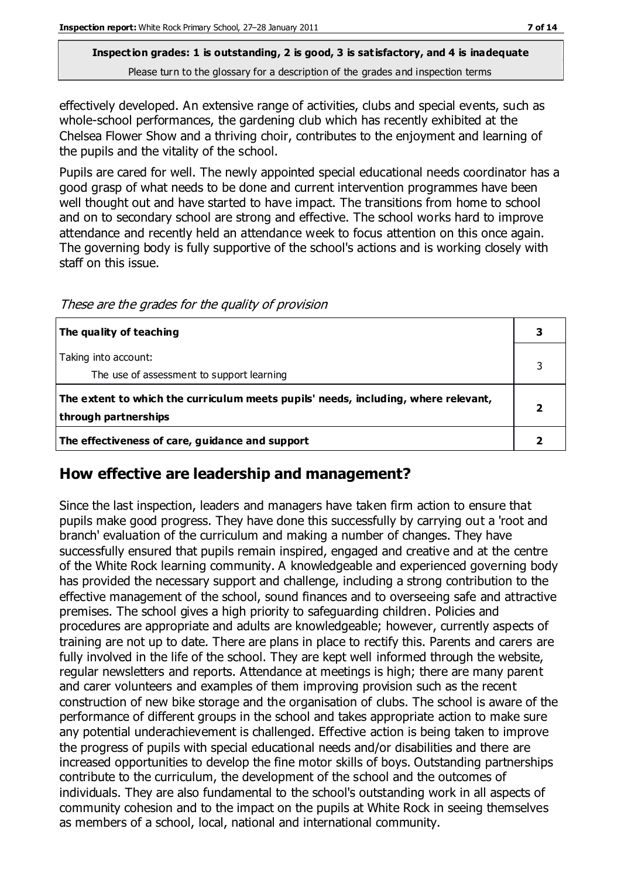effectively developed. An extensive range of activities, clubs and special events, such as whole-school performances, the gardening club which has recently exhibited at the Chelsea Flower Show and a thriving choir, contributes to the enjoyment and learning of the pupils and the vitality of the school.

Pupils are cared for well. The newly appointed special educational needs coordinator has a good grasp of what needs to be done and current intervention programmes have been well thought out and have started to have impact. The transitions from home to school and on to secondary school are strong and effective. The school works hard to improve attendance and recently held an attendance week to focus attention on this once again. The governing body is fully supportive of the school's actions and is working closely with staff on this issue.

| The quality of teaching                                                                                    |  |
|------------------------------------------------------------------------------------------------------------|--|
| Taking into account:<br>The use of assessment to support learning                                          |  |
| The extent to which the curriculum meets pupils' needs, including, where relevant,<br>through partnerships |  |
| The effectiveness of care, guidance and support                                                            |  |

These are the grades for the quality of provision

## **How effective are leadership and management?**

Since the last inspection, leaders and managers have taken firm action to ensure that pupils make good progress. They have done this successfully by carrying out a 'root and branch' evaluation of the curriculum and making a number of changes. They have successfully ensured that pupils remain inspired, engaged and creative and at the centre of the White Rock learning community. A knowledgeable and experienced governing body has provided the necessary support and challenge, including a strong contribution to the effective management of the school, sound finances and to overseeing safe and attractive premises. The school gives a high priority to safeguarding children. Policies and procedures are appropriate and adults are knowledgeable; however, currently aspects of training are not up to date. There are plans in place to rectify this. Parents and carers are fully involved in the life of the school. They are kept well informed through the website, regular newsletters and reports. Attendance at meetings is high; there are many parent and carer volunteers and examples of them improving provision such as the recent construction of new bike storage and the organisation of clubs. The school is aware of the performance of different groups in the school and takes appropriate action to make sure any potential underachievement is challenged. Effective action is being taken to improve the progress of pupils with special educational needs and/or disabilities and there are increased opportunities to develop the fine motor skills of boys. Outstanding partnerships contribute to the curriculum, the development of the school and the outcomes of individuals. They are also fundamental to the school's outstanding work in all aspects of community cohesion and to the impact on the pupils at White Rock in seeing themselves as members of a school, local, national and international community.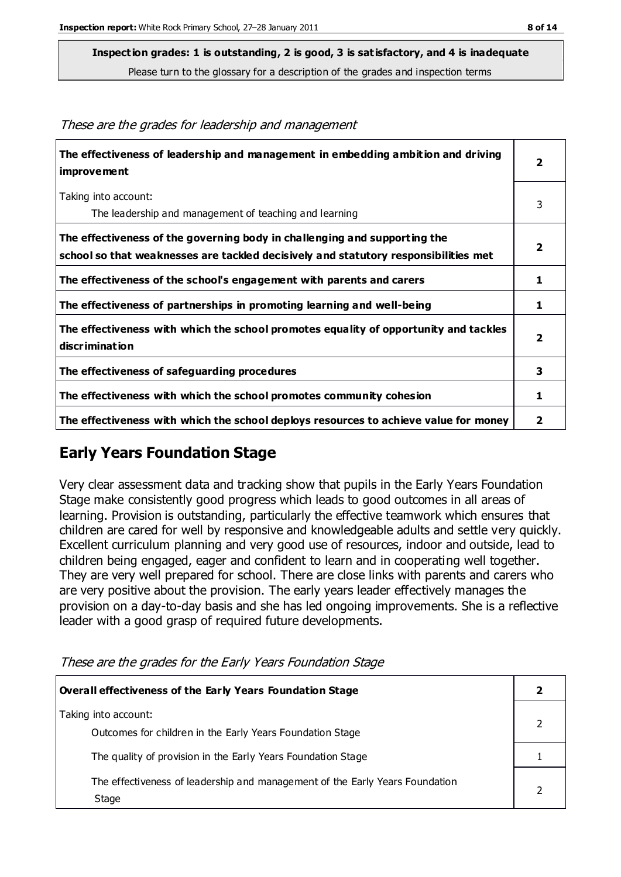**Inspection grades: 1 is outstanding, 2 is good, 3 is satisfactory, and 4 is inadequate**

Please turn to the glossary for a description of the grades and inspection terms

| The effectiveness of leadership and management in embedding ambition and driving<br>improvement                                                                  | $\overline{\mathbf{2}}$ |
|------------------------------------------------------------------------------------------------------------------------------------------------------------------|-------------------------|
| Taking into account:<br>The leadership and management of teaching and learning                                                                                   | 3                       |
| The effectiveness of the governing body in challenging and supporting the<br>school so that weaknesses are tackled decisively and statutory responsibilities met | $\overline{2}$          |
| The effectiveness of the school's engagement with parents and carers                                                                                             | 1                       |
| The effectiveness of partnerships in promoting learning and well-being                                                                                           | 1                       |
| The effectiveness with which the school promotes equality of opportunity and tackles<br>discrimination                                                           | $\overline{2}$          |
| The effectiveness of safeguarding procedures                                                                                                                     | 3                       |
| The effectiveness with which the school promotes community cohesion                                                                                              | 1                       |
| The effectiveness with which the school deploys resources to achieve value for money                                                                             | $\mathbf{2}$            |

#### These are the grades for leadership and management

## **Early Years Foundation Stage**

Very clear assessment data and tracking show that pupils in the Early Years Foundation Stage make consistently good progress which leads to good outcomes in all areas of learning. Provision is outstanding, particularly the effective teamwork which ensures that children are cared for well by responsive and knowledgeable adults and settle very quickly. Excellent curriculum planning and very good use of resources, indoor and outside, lead to children being engaged, eager and confident to learn and in cooperating well together. They are very well prepared for school. There are close links with parents and carers who are very positive about the provision. The early years leader effectively manages the provision on a day-to-day basis and she has led ongoing improvements. She is a reflective leader with a good grasp of required future developments.

These are the grades for the Early Years Foundation Stage

| <b>Overall effectiveness of the Early Years Foundation Stage</b>                      |  |
|---------------------------------------------------------------------------------------|--|
| Taking into account:<br>Outcomes for children in the Early Years Foundation Stage     |  |
| The quality of provision in the Early Years Foundation Stage                          |  |
| The effectiveness of leadership and management of the Early Years Foundation<br>Stage |  |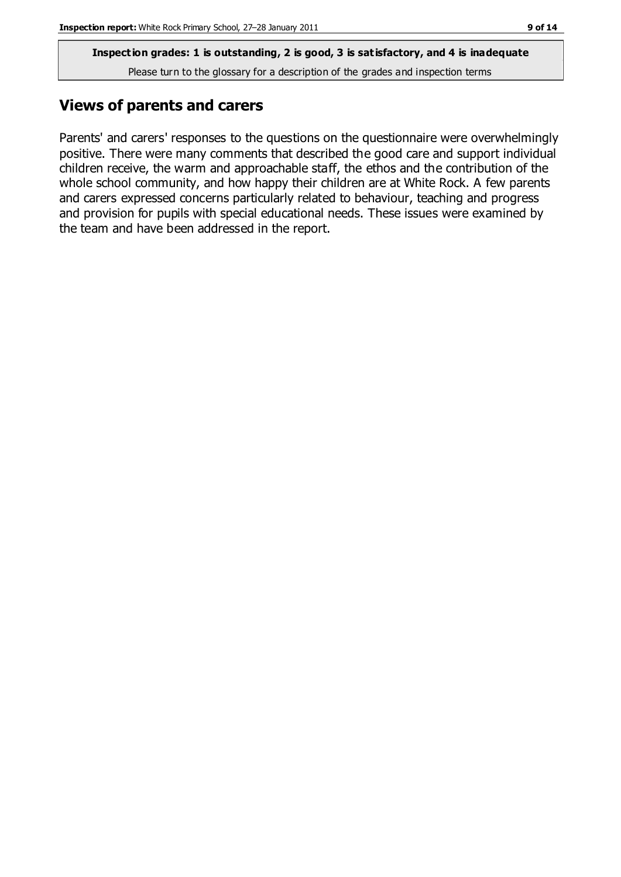### **Views of parents and carers**

Parents' and carers' responses to the questions on the questionnaire were overwhelmingly positive. There were many comments that described the good care and support individual children receive, the warm and approachable staff, the ethos and the contribution of the whole school community, and how happy their children are at White Rock. A few parents and carers expressed concerns particularly related to behaviour, teaching and progress and provision for pupils with special educational needs. These issues were examined by the team and have been addressed in the report.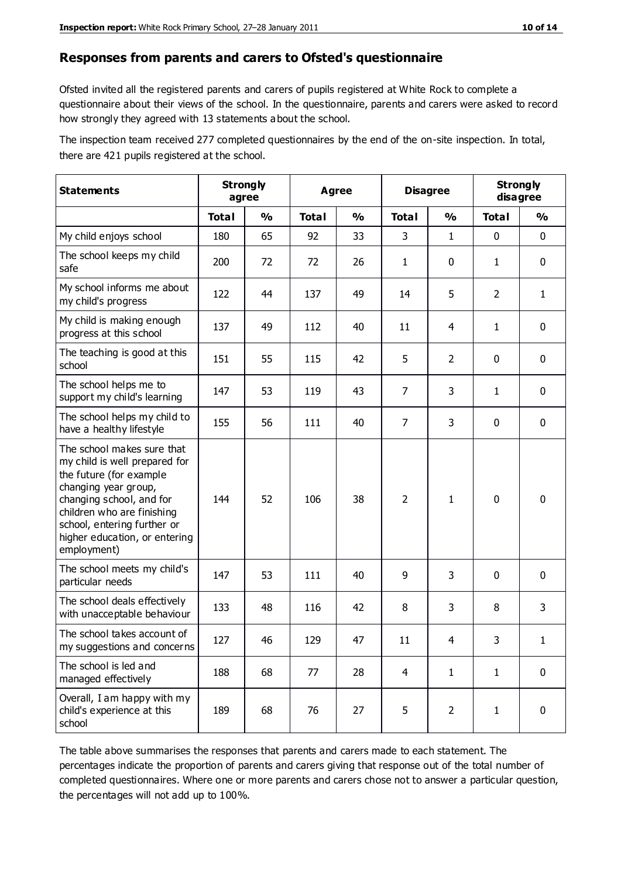#### **Responses from parents and carers to Ofsted's questionnaire**

Ofsted invited all the registered parents and carers of pupils registered at White Rock to complete a questionnaire about their views of the school. In the questionnaire, parents and carers were asked to record how strongly they agreed with 13 statements a bout the school.

The inspection team received 277 completed questionnaires by the end of the on-site inspection. In total, there are 421 pupils registered at the school.

| <b>Statements</b>                                                                                                                                                                                                                                       | <b>Strongly</b><br>agree |               | Agree        |               |                |                | <b>Disagree</b> |               | <b>Strongly</b><br>disagree |  |
|---------------------------------------------------------------------------------------------------------------------------------------------------------------------------------------------------------------------------------------------------------|--------------------------|---------------|--------------|---------------|----------------|----------------|-----------------|---------------|-----------------------------|--|
|                                                                                                                                                                                                                                                         | <b>Total</b>             | $\frac{0}{0}$ | <b>Total</b> | $\frac{0}{0}$ | <b>Total</b>   | $\frac{0}{0}$  | <b>Total</b>    | $\frac{0}{0}$ |                             |  |
| My child enjoys school                                                                                                                                                                                                                                  | 180                      | 65            | 92           | 33            | 3              | $\mathbf{1}$   | $\mathbf 0$     | $\mathbf 0$   |                             |  |
| The school keeps my child<br>safe                                                                                                                                                                                                                       | 200                      | 72            | 72           | 26            | 1              | 0              | $\mathbf{1}$    | $\mathbf 0$   |                             |  |
| My school informs me about<br>my child's progress                                                                                                                                                                                                       | 122                      | 44            | 137          | 49            | 14             | 5              | $\overline{2}$  | $\mathbf{1}$  |                             |  |
| My child is making enough<br>progress at this school                                                                                                                                                                                                    | 137                      | 49            | 112          | 40            | 11             | 4              | 1               | $\mathbf 0$   |                             |  |
| The teaching is good at this<br>school                                                                                                                                                                                                                  | 151                      | 55            | 115          | 42            | 5              | $\overline{2}$ | $\mathbf 0$     | $\mathbf 0$   |                             |  |
| The school helps me to<br>support my child's learning                                                                                                                                                                                                   | 147                      | 53            | 119          | 43            | $\overline{7}$ | 3              | 1               | $\mathbf 0$   |                             |  |
| The school helps my child to<br>have a healthy lifestyle                                                                                                                                                                                                | 155                      | 56            | 111          | 40            | $\overline{7}$ | 3              | $\mathbf 0$     | $\mathbf 0$   |                             |  |
| The school makes sure that<br>my child is well prepared for<br>the future (for example<br>changing year group,<br>changing school, and for<br>children who are finishing<br>school, entering further or<br>higher education, or entering<br>employment) | 144                      | 52            | 106          | 38            | $\overline{2}$ | 1              | $\mathbf 0$     | $\mathbf 0$   |                             |  |
| The school meets my child's<br>particular needs                                                                                                                                                                                                         | 147                      | 53            | 111          | 40            | 9              | 3              | $\mathbf 0$     | $\mathbf 0$   |                             |  |
| The school deals effectively<br>with unacceptable behaviour                                                                                                                                                                                             | 133                      | 48            | 116          | 42            | 8              | 3              | 8               | 3             |                             |  |
| The school takes account of<br>my suggestions and concerns                                                                                                                                                                                              | 127                      | 46            | 129          | 47            | 11             | 4              | 3               | 1             |                             |  |
| The school is led and<br>managed effectively                                                                                                                                                                                                            | 188                      | 68            | 77           | 28            | $\overline{4}$ | $\mathbf{1}$   | $\mathbf{1}$    | $\mathbf 0$   |                             |  |
| Overall, I am happy with my<br>child's experience at this<br>school                                                                                                                                                                                     | 189                      | 68            | 76           | 27            | 5              | $\overline{2}$ | $\mathbf{1}$    | $\mathbf 0$   |                             |  |

The table above summarises the responses that parents and carers made to each statement. The percentages indicate the proportion of parents and carers giving that response out of the total number of completed questionnaires. Where one or more parents and carers chose not to answer a particular question, the percentages will not add up to 100%.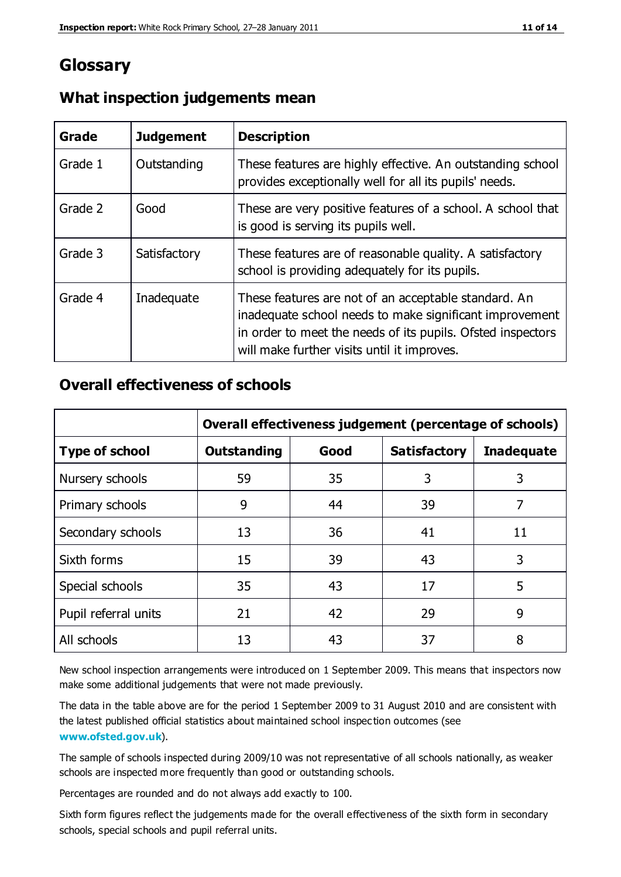## **Glossary**

| Grade   | <b>Judgement</b> | <b>Description</b>                                                                                                                                                                                                            |
|---------|------------------|-------------------------------------------------------------------------------------------------------------------------------------------------------------------------------------------------------------------------------|
| Grade 1 | Outstanding      | These features are highly effective. An outstanding school<br>provides exceptionally well for all its pupils' needs.                                                                                                          |
| Grade 2 | Good             | These are very positive features of a school. A school that<br>is good is serving its pupils well.                                                                                                                            |
| Grade 3 | Satisfactory     | These features are of reasonable quality. A satisfactory<br>school is providing adequately for its pupils.                                                                                                                    |
| Grade 4 | Inadequate       | These features are not of an acceptable standard. An<br>inadequate school needs to make significant improvement<br>in order to meet the needs of its pupils. Ofsted inspectors<br>will make further visits until it improves. |

#### **What inspection judgements mean**

#### **Overall effectiveness of schools**

|                       | Overall effectiveness judgement (percentage of schools) |      |                     |                   |
|-----------------------|---------------------------------------------------------|------|---------------------|-------------------|
| <b>Type of school</b> | <b>Outstanding</b>                                      | Good | <b>Satisfactory</b> | <b>Inadequate</b> |
| Nursery schools       | 59                                                      | 35   | 3                   | 3                 |
| Primary schools       | 9                                                       | 44   | 39                  | 7                 |
| Secondary schools     | 13                                                      | 36   | 41                  | 11                |
| Sixth forms           | 15                                                      | 39   | 43                  | 3                 |
| Special schools       | 35                                                      | 43   | 17                  | 5                 |
| Pupil referral units  | 21                                                      | 42   | 29                  | 9                 |
| All schools           | 13                                                      | 43   | 37                  | 8                 |

New school inspection arrangements were introduced on 1 September 2009. This means that inspectors now make some additional judgements that were not made previously.

The data in the table above are for the period 1 September 2009 to 31 August 2010 and are consistent with the latest published official statistics about maintained school inspec tion outcomes (see **[www.ofsted.gov.uk](http://www.ofsted.gov.uk/)**).

The sample of schools inspected during 2009/10 was not representative of all schools nationally, as weaker schools are inspected more frequently than good or outstanding schools.

Percentages are rounded and do not always add exactly to 100.

Sixth form figures reflect the judgements made for the overall effectiveness of the sixth form in secondary schools, special schools and pupil referral units.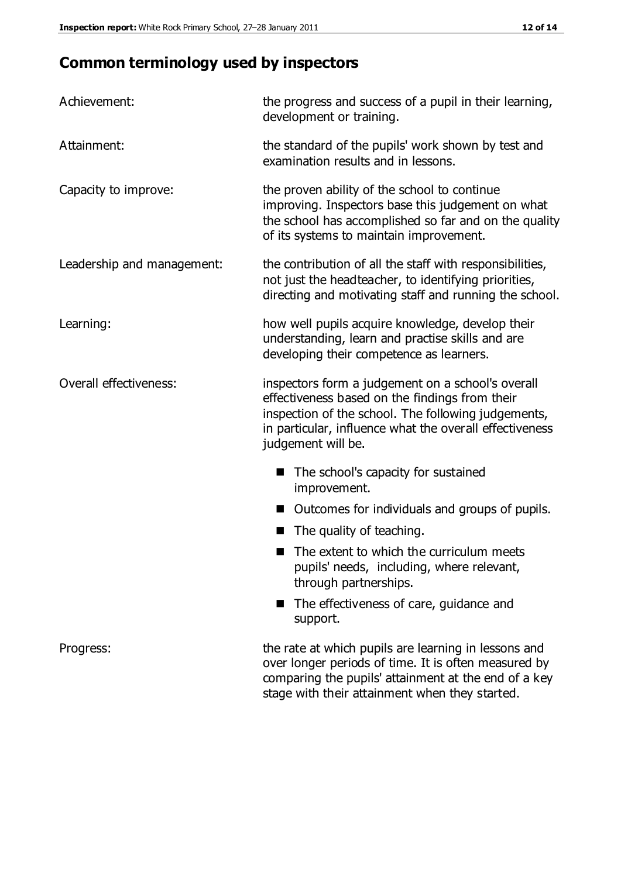# **Common terminology used by inspectors**

| Achievement:                  | the progress and success of a pupil in their learning,<br>development or training.                                                                                                                                                          |  |  |
|-------------------------------|---------------------------------------------------------------------------------------------------------------------------------------------------------------------------------------------------------------------------------------------|--|--|
| Attainment:                   | the standard of the pupils' work shown by test and<br>examination results and in lessons.                                                                                                                                                   |  |  |
| Capacity to improve:          | the proven ability of the school to continue<br>improving. Inspectors base this judgement on what<br>the school has accomplished so far and on the quality<br>of its systems to maintain improvement.                                       |  |  |
| Leadership and management:    | the contribution of all the staff with responsibilities,<br>not just the headteacher, to identifying priorities,<br>directing and motivating staff and running the school.                                                                  |  |  |
| Learning:                     | how well pupils acquire knowledge, develop their<br>understanding, learn and practise skills and are<br>developing their competence as learners.                                                                                            |  |  |
| <b>Overall effectiveness:</b> | inspectors form a judgement on a school's overall<br>effectiveness based on the findings from their<br>inspection of the school. The following judgements,<br>in particular, influence what the overall effectiveness<br>judgement will be. |  |  |
|                               | The school's capacity for sustained<br>improvement.                                                                                                                                                                                         |  |  |
|                               | Outcomes for individuals and groups of pupils.                                                                                                                                                                                              |  |  |
|                               | The quality of teaching.                                                                                                                                                                                                                    |  |  |
|                               | The extent to which the curriculum meets<br>pupils' needs, including, where relevant,<br>through partnerships.                                                                                                                              |  |  |
|                               | The effectiveness of care, guidance and<br>support.                                                                                                                                                                                         |  |  |
| Progress:                     | the rate at which pupils are learning in lessons and<br>over longer periods of time. It is often measured by<br>comparing the pupils' attainment at the end of a key                                                                        |  |  |

stage with their attainment when they started.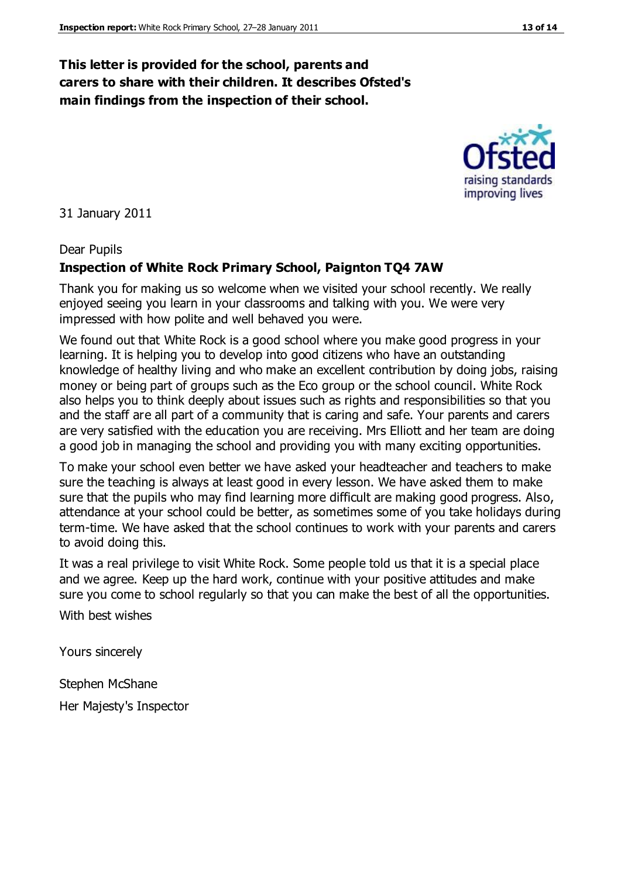#### **This letter is provided for the school, parents and carers to share with their children. It describes Ofsted's main findings from the inspection of their school.**

31 January 2011

#### Dear Pupils

#### **Inspection of White Rock Primary School, Paignton TQ4 7AW**

Thank you for making us so welcome when we visited your school recently. We really enjoyed seeing you learn in your classrooms and talking with you. We were very impressed with how polite and well behaved you were.

We found out that White Rock is a good school where you make good progress in your learning. It is helping you to develop into good citizens who have an outstanding knowledge of healthy living and who make an excellent contribution by doing jobs, raising money or being part of groups such as the Eco group or the school council. White Rock also helps you to think deeply about issues such as rights and responsibilities so that you and the staff are all part of a community that is caring and safe. Your parents and carers are very satisfied with the education you are receiving. Mrs Elliott and her team are doing a good job in managing the school and providing you with many exciting opportunities.

To make your school even better we have asked your headteacher and teachers to make sure the teaching is always at least good in every lesson. We have asked them to make sure that the pupils who may find learning more difficult are making good progress. Also, attendance at your school could be better, as sometimes some of you take holidays during term-time. We have asked that the school continues to work with your parents and carers to avoid doing this.

It was a real privilege to visit White Rock. Some people told us that it is a special place and we agree. Keep up the hard work, continue with your positive attitudes and make sure you come to school regularly so that you can make the best of all the opportunities.

With best wishes

Yours sincerely

Stephen McShane

Her Majesty's Inspector